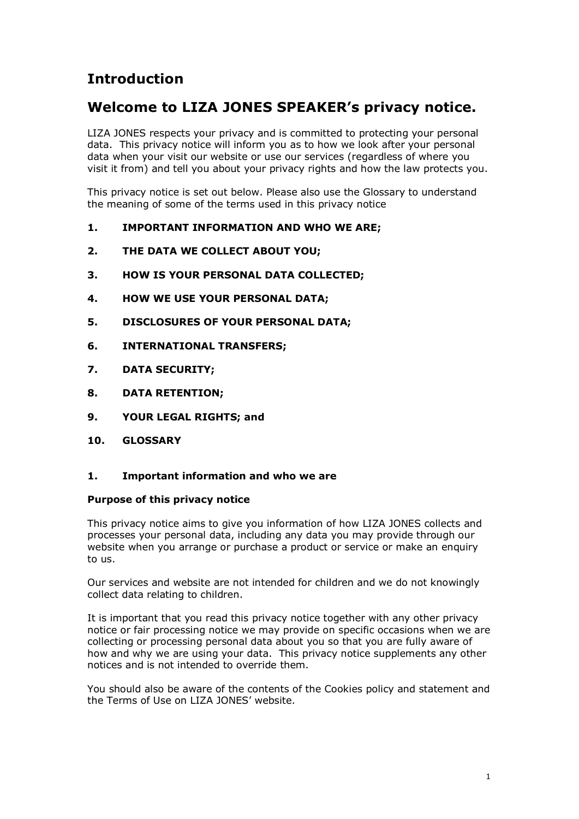# **Introduction**

# **Welcome to LIZA JONES SPEAKER's privacy notice.**

LIZA JONES respects your privacy and is committed to protecting your personal data. This privacy notice will inform you as to how we look after your personal data when your visit our website or use our services (regardless of where you visit it from) and tell you about your privacy rights and how the law protects you.

This privacy notice is set out below. Please also use the Glossary to understand the meaning of some of the terms used in this privacy notice

- **1. IMPORTANT INFORMATION AND WHO WE ARE;**
- **2. THE DATA WE COLLECT ABOUT YOU;**
- **3. HOW IS YOUR PERSONAL DATA COLLECTED;**
- **4. HOW WE USE YOUR PERSONAL DATA;**
- **5. DISCLOSURES OF YOUR PERSONAL DATA;**
- **6. INTERNATIONAL TRANSFERS;**
- **7. DATA SECURITY;**
- **8. DATA RETENTION;**
- **9. YOUR LEGAL RIGHTS; and**
- **10. GLOSSARY**

#### **1. Important information and who we are**

#### **Purpose of this privacy notice**

This privacy notice aims to give you information of how LIZA JONES collects and processes your personal data, including any data you may provide through our website when you arrange or purchase a product or service or make an enquiry to us.

Our services and website are not intended for children and we do not knowingly collect data relating to children.

It is important that you read this privacy notice together with any other privacy notice or fair processing notice we may provide on specific occasions when we are collecting or processing personal data about you so that you are fully aware of how and why we are using your data. This privacy notice supplements any other notices and is not intended to override them.

You should also be aware of the contents of the Cookies policy and statement and the Terms of Use on LIZA JONES' website.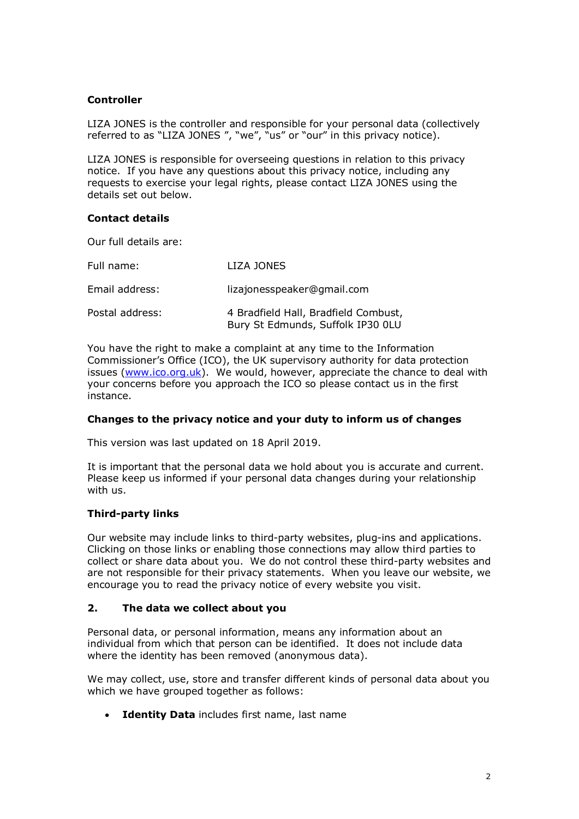# **Controller**

LIZA JONES is the controller and responsible for your personal data (collectively referred to as "LIZA JONES", "we", "us" or "our" in this privacy notice).

LIZA JONES is responsible for overseeing questions in relation to this privacy notice. If you have any questions about this privacy notice, including any requests to exercise your legal rights, please contact LIZA JONES using the details set out below.

#### **Contact details**

Our full details are:

| Full name:      | LIZA JONES                                                                |  |
|-----------------|---------------------------------------------------------------------------|--|
| Email address:  | lizajonesspeaker@gmail.com                                                |  |
| Postal address: | 4 Bradfield Hall, Bradfield Combust,<br>Bury St Edmunds, Suffolk IP30 OLU |  |

You have the right to make a complaint at any time to the Information Commissioner's Office (ICO), the UK supervisory authority for data protection issues (www.ico.org.uk). We would, however, appreciate the chance to deal with your concerns before you approach the ICO so please contact us in the first instance.

#### **Changes to the privacy notice and your duty to inform us of changes**

This version was last updated on 18 April 2019.

It is important that the personal data we hold about you is accurate and current. Please keep us informed if your personal data changes during your relationship with us.

# **Third-party links**

Our website may include links to third-party websites, plug-ins and applications. Clicking on those links or enabling those connections may allow third parties to collect or share data about you. We do not control these third-party websites and are not responsible for their privacy statements. When you leave our website, we encourage you to read the privacy notice of every website you visit.

#### **2. The data we collect about you**

Personal data, or personal information, means any information about an individual from which that person can be identified. It does not include data where the identity has been removed (anonymous data).

We may collect, use, store and transfer different kinds of personal data about you which we have grouped together as follows:

**Identity Data** includes first name, last name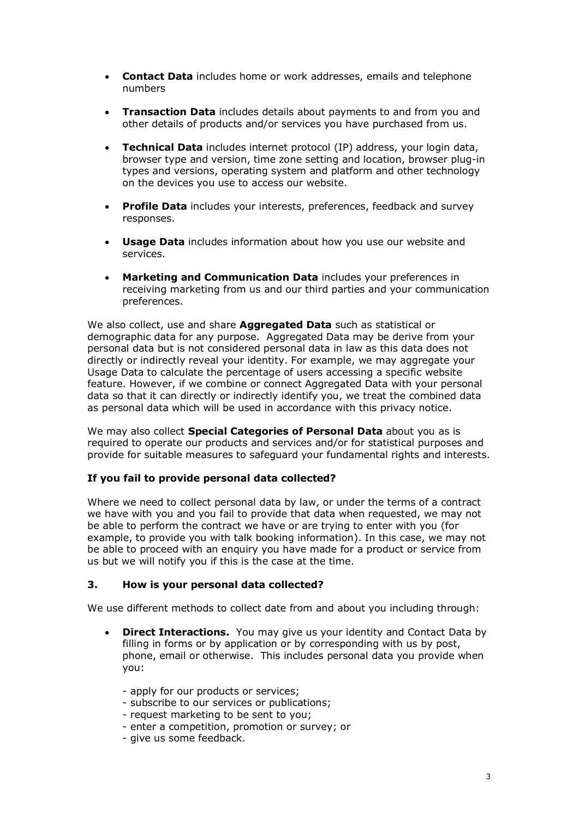- **Contact Data** includes home or work addresses, emails and telephone numbers
- **Transaction Data** includes details about payments to and from you and other details of products and/or services you have purchased from us.
- **Technical Data** includes internet protocol (IP) address, your login data, browser type and version, time zone setting and location, browser plug-in types and versions, operating system and platform and other technology on the devices you use to access our website.
- **Profile Data** includes your interests, preferences, feedback and survey responses.
- **Usage Data** includes information about how you use our website and services.
- **Marketing and Communication Data** includes your preferences in receiving marketing from us and our third parties and your communication preferences.

We also collect, use and share **Aggregated Data** such as statistical or demographic data for any purpose. Aggregated Data may be derive from your personal data but is not considered personal data in law as this data does not directly or indirectly reveal your identity. For example, we may aggregate your Usage Data to calculate the percentage of users accessing a specific website feature. However, if we combine or connect Aggregated Data with your personal data so that it can directly or indirectly identify you, we treat the combined data as personal data which will be used in accordance with this privacy notice.

We may also collect **Special Categories of Personal Data** about you as is required to operate our products and services and/or for statistical purposes and provide for suitable measures to safeguard your fundamental rights and interests.

# **If you fail to provide personal data collected?**

Where we need to collect personal data by law, or under the terms of a contract we have with you and you fail to provide that data when requested, we may not be able to perform the contract we have or are trying to enter with you (for example, to provide you with talk booking information). In this case, we may not be able to proceed with an enquiry you have made for a product or service from us but we will notify you if this is the case at the time.

#### **3. How is your personal data collected?**

We use different methods to collect date from and about you including through:

- **Direct Interactions.** You may give us your identity and Contact Data by filling in forms or by application or by corresponding with us by post, phone, email or otherwise. This includes personal data you provide when you:
	- apply for our products or services;
	- subscribe to our services or publications;
	- request marketing to be sent to you;
	- enter a competition, promotion or survey; or
	- give us some feedback.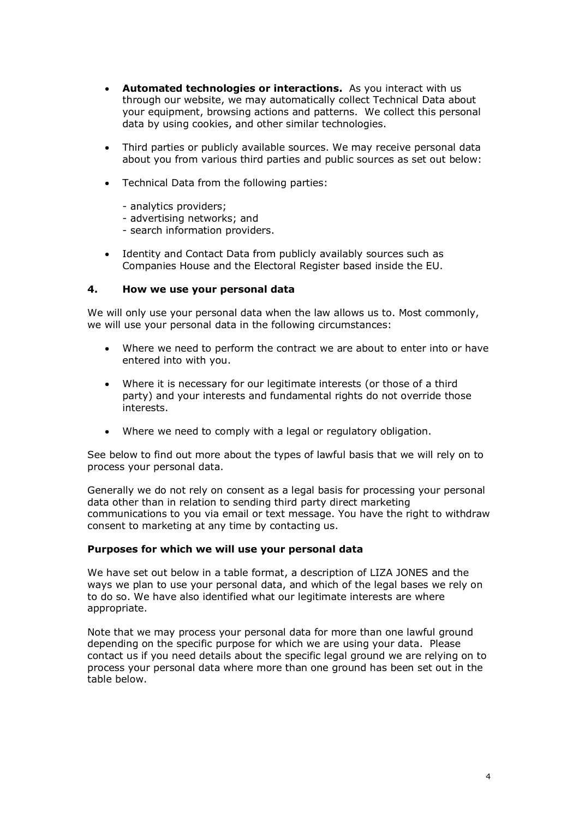- **Automated technologies or interactions.** As you interact with us through our website, we may automatically collect Technical Data about your equipment, browsing actions and patterns. We collect this personal data by using cookies, and other similar technologies.
- Third parties or publicly available sources. We may receive personal data about you from various third parties and public sources as set out below:
- Technical Data from the following parties:
	- analytics providers;
	- advertising networks; and
	- search information providers.
- Identity and Contact Data from publicly availably sources such as Companies House and the Electoral Register based inside the EU.

#### **4. How we use your personal data**

We will only use your personal data when the law allows us to. Most commonly, we will use your personal data in the following circumstances:

- Where we need to perform the contract we are about to enter into or have entered into with you.
- Where it is necessary for our legitimate interests (or those of a third party) and your interests and fundamental rights do not override those interests.
- Where we need to comply with a legal or regulatory obligation.

See below to find out more about the types of lawful basis that we will rely on to process your personal data.

Generally we do not rely on consent as a legal basis for processing your personal data other than in relation to sending third party direct marketing communications to you via email or text message. You have the right to withdraw consent to marketing at any time by contacting us.

#### **Purposes for which we will use your personal data**

We have set out below in a table format, a description of LIZA JONES and the ways we plan to use your personal data, and which of the legal bases we rely on to do so. We have also identified what our legitimate interests are where appropriate.

Note that we may process your personal data for more than one lawful ground depending on the specific purpose for which we are using your data. Please contact us if you need details about the specific legal ground we are relying on to process your personal data where more than one ground has been set out in the table below.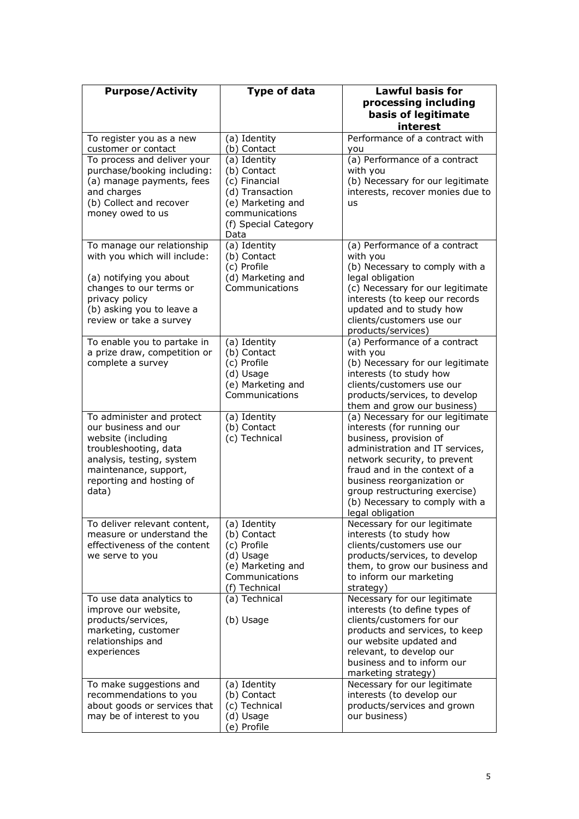| <b>Purpose/Activity</b>                                                                                                                                                                     | <b>Type of data</b>                                                                                                                    | <b>Lawful basis for</b><br>processing including                                                                                                                                                                                                                                                                   |
|---------------------------------------------------------------------------------------------------------------------------------------------------------------------------------------------|----------------------------------------------------------------------------------------------------------------------------------------|-------------------------------------------------------------------------------------------------------------------------------------------------------------------------------------------------------------------------------------------------------------------------------------------------------------------|
|                                                                                                                                                                                             |                                                                                                                                        | basis of legitimate<br>interest                                                                                                                                                                                                                                                                                   |
| To register you as a new<br>customer or contact                                                                                                                                             | $\overline{(a)}$ Identity<br>(b) Contact                                                                                               | Performance of a contract with<br>you                                                                                                                                                                                                                                                                             |
| To process and deliver your<br>purchase/booking including:<br>(a) manage payments, fees<br>and charges<br>(b) Collect and recover<br>money owed to us                                       | (a) Identity<br>(b) Contact<br>(c) Financial<br>(d) Transaction<br>(e) Marketing and<br>communications<br>(f) Special Category<br>Data | (a) Performance of a contract<br>with you<br>(b) Necessary for our legitimate<br>interests, recover monies due to<br>us                                                                                                                                                                                           |
| To manage our relationship<br>with you which will include:<br>(a) notifying you about<br>changes to our terms or<br>privacy policy<br>(b) asking you to leave a<br>review or take a survey  | (a) Identity<br>(b) Contact<br>(c) Profile<br>(d) Marketing and<br>Communications                                                      | (a) Performance of a contract<br>with you<br>(b) Necessary to comply with a<br>legal obligation<br>(c) Necessary for our legitimate<br>interests (to keep our records<br>updated and to study how<br>clients/customers use our<br>products/services)                                                              |
| To enable you to partake in<br>a prize draw, competition or<br>complete a survey                                                                                                            | (a) Identity<br>(b) Contact<br>(c) Profile<br>(d) Usage<br>(e) Marketing and<br>Communications                                         | (a) Performance of a contract<br>with you<br>(b) Necessary for our legitimate<br>interests (to study how<br>clients/customers use our<br>products/services, to develop<br>them and grow our business)                                                                                                             |
| To administer and protect<br>our business and our<br>website (including<br>troubleshooting, data<br>analysis, testing, system<br>maintenance, support,<br>reporting and hosting of<br>data) | (a) Identity<br>(b) Contact<br>(c) Technical                                                                                           | (a) Necessary for our legitimate<br>interests (for running our<br>business, provision of<br>administration and IT services,<br>network security, to prevent<br>fraud and in the context of a<br>business reorganization or<br>group restructuring exercise)<br>(b) Necessary to comply with a<br>legal obligation |
| To deliver relevant content,<br>measure or understand the<br>effectiveness of the content<br>we serve to you                                                                                | (a) Identity<br>(b) Contact<br>(c) Profile<br>(d) Usage<br>(e) Marketing and<br>Communications<br>(f) Technical                        | Necessary for our legitimate<br>interests (to study how<br>clients/customers use our<br>products/services, to develop<br>them, to grow our business and<br>to inform our marketing<br>strategy)                                                                                                                   |
| To use data analytics to<br>improve our website,<br>products/services,<br>marketing, customer<br>relationships and<br>experiences                                                           | (a) Technical<br>(b) Usage                                                                                                             | Necessary for our legitimate<br>interests (to define types of<br>clients/customers for our<br>products and services, to keep<br>our website updated and<br>relevant, to develop our<br>business and to inform our<br>marketing strategy)                                                                          |
| To make suggestions and<br>recommendations to you<br>about goods or services that<br>may be of interest to you                                                                              | (a) Identity<br>(b) Contact<br>(c) Technical<br>(d) Usage<br>(e) Profile                                                               | Necessary for our legitimate<br>interests (to develop our<br>products/services and grown<br>our business)                                                                                                                                                                                                         |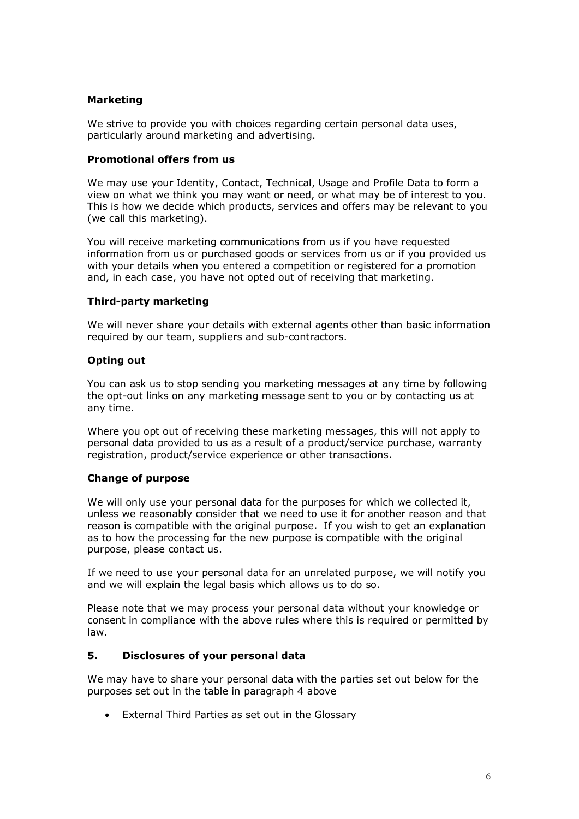### **Marketing**

We strive to provide you with choices regarding certain personal data uses, particularly around marketing and advertising.

#### **Promotional offers from us**

We may use your Identity, Contact, Technical, Usage and Profile Data to form a view on what we think you may want or need, or what may be of interest to you. This is how we decide which products, services and offers may be relevant to you (we call this marketing).

You will receive marketing communications from us if you have requested information from us or purchased goods or services from us or if you provided us with your details when you entered a competition or registered for a promotion and, in each case, you have not opted out of receiving that marketing.

#### **Third-party marketing**

We will never share your details with external agents other than basic information required by our team, suppliers and sub-contractors.

#### **Opting out**

You can ask us to stop sending you marketing messages at any time by following the opt-out links on any marketing message sent to you or by contacting us at any time.

Where you opt out of receiving these marketing messages, this will not apply to personal data provided to us as a result of a product/service purchase, warranty registration, product/service experience or other transactions.

#### **Change of purpose**

We will only use your personal data for the purposes for which we collected it, unless we reasonably consider that we need to use it for another reason and that reason is compatible with the original purpose. If you wish to get an explanation as to how the processing for the new purpose is compatible with the original purpose, please contact us.

If we need to use your personal data for an unrelated purpose, we will notify you and we will explain the legal basis which allows us to do so.

Please note that we may process your personal data without your knowledge or consent in compliance with the above rules where this is required or permitted by law.

#### **5. Disclosures of your personal data**

We may have to share your personal data with the parties set out below for the purposes set out in the table in paragraph 4 above

External Third Parties as set out in the Glossary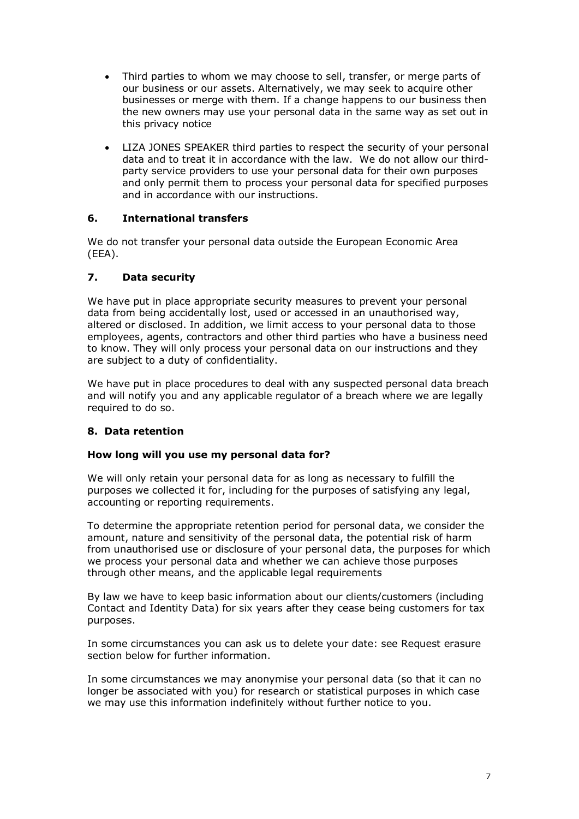- Third parties to whom we may choose to sell, transfer, or merge parts of our business or our assets. Alternatively, we may seek to acquire other businesses or merge with them. If a change happens to our business then the new owners may use your personal data in the same way as set out in this privacy notice
- LIZA JONES SPEAKER third parties to respect the security of your personal data and to treat it in accordance with the law. We do not allow our thirdparty service providers to use your personal data for their own purposes and only permit them to process your personal data for specified purposes and in accordance with our instructions.

# **6. International transfers**

We do not transfer your personal data outside the European Economic Area (EEA).

# **7. Data security**

We have put in place appropriate security measures to prevent your personal data from being accidentally lost, used or accessed in an unauthorised way, altered or disclosed. In addition, we limit access to your personal data to those employees, agents, contractors and other third parties who have a business need to know. They will only process your personal data on our instructions and they are subject to a duty of confidentiality.

We have put in place procedures to deal with any suspected personal data breach and will notify you and any applicable regulator of a breach where we are legally required to do so.

# **8. Data retention**

# **How long will you use my personal data for?**

We will only retain your personal data for as long as necessary to fulfill the purposes we collected it for, including for the purposes of satisfying any legal, accounting or reporting requirements.

To determine the appropriate retention period for personal data, we consider the amount, nature and sensitivity of the personal data, the potential risk of harm from unauthorised use or disclosure of your personal data, the purposes for which we process your personal data and whether we can achieve those purposes through other means, and the applicable legal requirements

By law we have to keep basic information about our clients/customers (including Contact and Identity Data) for six years after they cease being customers for tax purposes.

In some circumstances you can ask us to delete your date: see Request erasure section below for further information.

In some circumstances we may anonymise your personal data (so that it can no longer be associated with you) for research or statistical purposes in which case we may use this information indefinitely without further notice to you.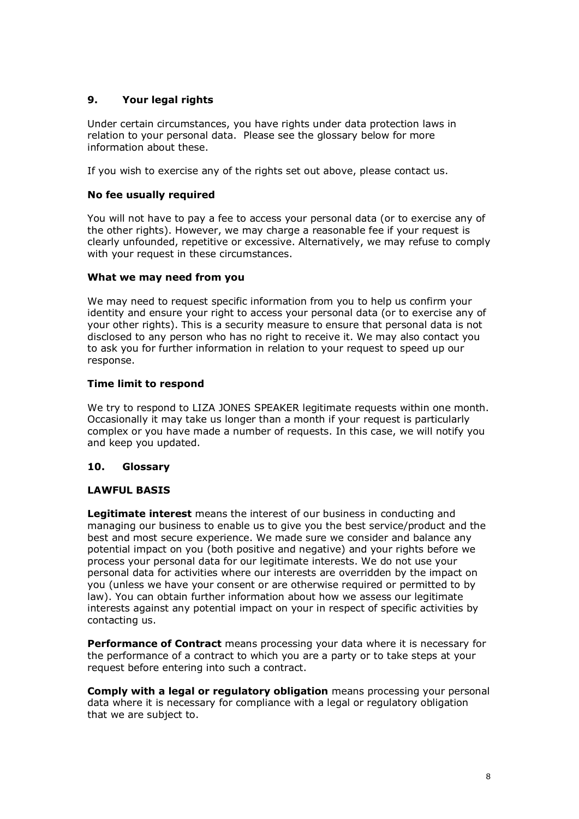# **9. Your legal rights**

Under certain circumstances, you have rights under data protection laws in relation to your personal data. Please see the glossary below for more information about these.

If you wish to exercise any of the rights set out above, please contact us.

### **No fee usually required**

You will not have to pay a fee to access your personal data (or to exercise any of the other rights). However, we may charge a reasonable fee if your request is clearly unfounded, repetitive or excessive. Alternatively, we may refuse to comply with your request in these circumstances.

#### **What we may need from you**

We may need to request specific information from you to help us confirm your identity and ensure your right to access your personal data (or to exercise any of your other rights). This is a security measure to ensure that personal data is not disclosed to any person who has no right to receive it. We may also contact you to ask you for further information in relation to your request to speed up our response.

#### **Time limit to respond**

We try to respond to LIZA JONES SPEAKER legitimate requests within one month. Occasionally it may take us longer than a month if your request is particularly complex or you have made a number of requests. In this case, we will notify you and keep you updated.

# **10. Glossary**

#### **LAWFUL BASIS**

**Legitimate interest** means the interest of our business in conducting and managing our business to enable us to give you the best service/product and the best and most secure experience. We made sure we consider and balance any potential impact on you (both positive and negative) and your rights before we process your personal data for our legitimate interests. We do not use your personal data for activities where our interests are overridden by the impact on you (unless we have your consent or are otherwise required or permitted to by law). You can obtain further information about how we assess our legitimate interests against any potential impact on your in respect of specific activities by contacting us.

**Performance of Contract** means processing your data where it is necessary for the performance of a contract to which you are a party or to take steps at your request before entering into such a contract.

**Comply with a legal or regulatory obligation** means processing your personal data where it is necessary for compliance with a legal or regulatory obligation that we are subject to.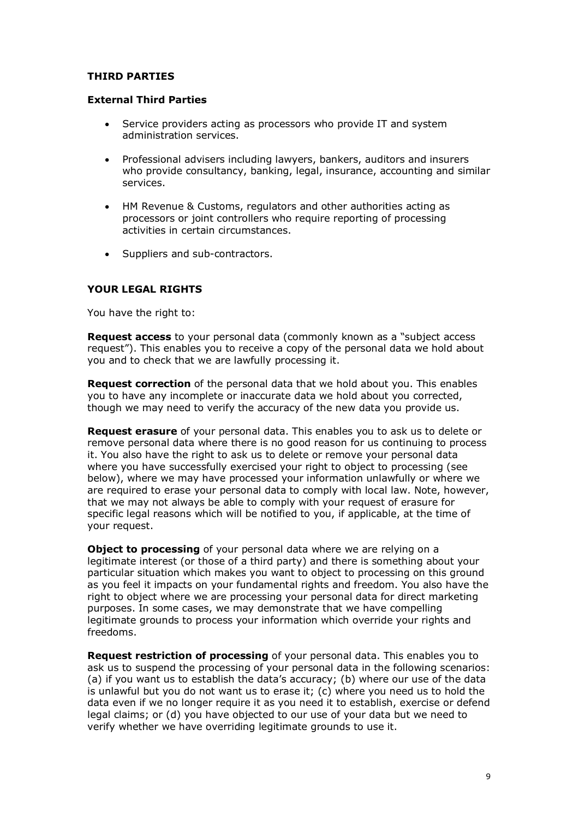#### **THIRD PARTIES**

# **External Third Parties**

- Service providers acting as processors who provide IT and system administration services.
- Professional advisers including lawyers, bankers, auditors and insurers who provide consultancy, banking, legal, insurance, accounting and similar services.
- HM Revenue & Customs, regulators and other authorities acting as processors or joint controllers who require reporting of processing activities in certain circumstances.
- Suppliers and sub-contractors.

# **YOUR LEGAL RIGHTS**

You have the right to:

**Request access** to your personal data (commonly known as a "subject access request"). This enables you to receive a copy of the personal data we hold about you and to check that we are lawfully processing it.

**Request correction** of the personal data that we hold about you. This enables you to have any incomplete or inaccurate data we hold about you corrected, though we may need to verify the accuracy of the new data you provide us.

**Request erasure** of your personal data. This enables you to ask us to delete or remove personal data where there is no good reason for us continuing to process it. You also have the right to ask us to delete or remove your personal data where you have successfully exercised your right to object to processing (see below), where we may have processed your information unlawfully or where we are required to erase your personal data to comply with local law. Note, however, that we may not always be able to comply with your request of erasure for specific legal reasons which will be notified to you, if applicable, at the time of your request.

**Object to processing** of your personal data where we are relying on a legitimate interest (or those of a third party) and there is something about your particular situation which makes you want to object to processing on this ground as you feel it impacts on your fundamental rights and freedom. You also have the right to object where we are processing your personal data for direct marketing purposes. In some cases, we may demonstrate that we have compelling legitimate grounds to process your information which override your rights and freedoms.

**Request restriction of processing** of your personal data. This enables you to ask us to suspend the processing of your personal data in the following scenarios: (a) if you want us to establish the data's accuracy; (b) where our use of the data is unlawful but you do not want us to erase it; (c) where you need us to hold the data even if we no longer require it as you need it to establish, exercise or defend legal claims; or (d) you have objected to our use of your data but we need to verify whether we have overriding legitimate grounds to use it.